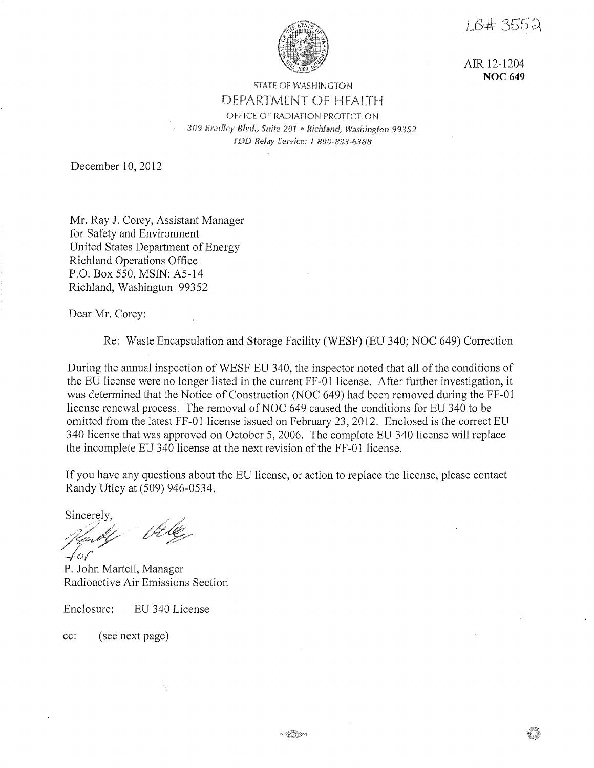i B# 3552



AIR 12-1204 **NOC 649** 

# STATE OF WASHINGTON DEPARTMENT OF HEALTH OFFICE OF RADIATION PROTECTION *309 Bradley Blvd., Suite 201* ® *Richland, Washington 99352 TDD Relay Service: 1-800-833-6388*

December 10, 2012

Mr. Ray J. Corey, Assistant Manager for Safety and Environment United States Department of Energy Richland Operations Office P.O. Box 550, MSIN: A5-14 Richland, Washington 99352

Dear Mr. Corey:

Re: Waste Encapsulation and Storage Facility (WESF) (EU 340; NOC 649) Correction

During the annual inspection of WESF EU 340, the inspector noted that all of the conditions of the EU license were no longer listed in the current FF-01 license. After further investigation, it was determined that the Notice of Construction (NOC 649) had been removed during the FF-01 license renewal process. The removal of NOC 649 caused the conditions for EU 340 to be omitted from the latest FF-01 license issued on February 23, 2012. Enclosed is the correct EU 340 license that was approved on October 5, 2006. The complete EU 340 license will replace the incomplete EU 340 license at the next revision of the FF-01 license.

If you have any questions about the EU license, or action to replace the license, please contact Randy Utley at (509) 946-0534.

Sincerely,

' / .. <sup>~</sup> *./?·/u ;)'~/1/~y*  faf'

P. John Martell, Manager Radioactive Air Emissions Section

Enclosure: EU 340 License

cc: ( see next page)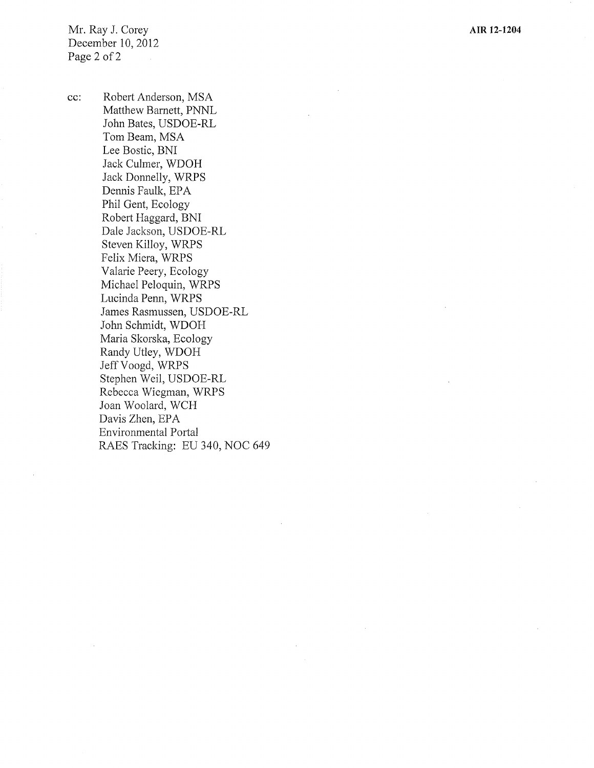Mr. Ray J. Corey December 10, 2012 Page 2 of 2

cc: Robert Anderson, MSA Matthew Barnett, PNNL John Bates, USDOE-RL Tom Beam, MSA Lee Bostic, BNI Jack Culmer, WDOH Jack Donnelly, WRPS Dennis Faulk, EPA Phil Gent, Ecology Robert Haggard, BNI Dale Jackson, USDOE-RL Steven Killoy, WRPS Felix Miera, WRPS Valarie Peery, Ecology Michael Peloquin, WRPS Lucinda Penn, WRPS James Rasmussen, USDOE-RL John Schmidt, WDOH Maria Skorska, Ecology Randy Utley, WDOH Jeff Voogd, WRPS Stephen Weil, USDOE-RL Rebecca Wiegman, WRPS Joan Woolard, WCH Davis Zhen, EPA Environmental Portal RAES Tracking: EU 340, NOC 649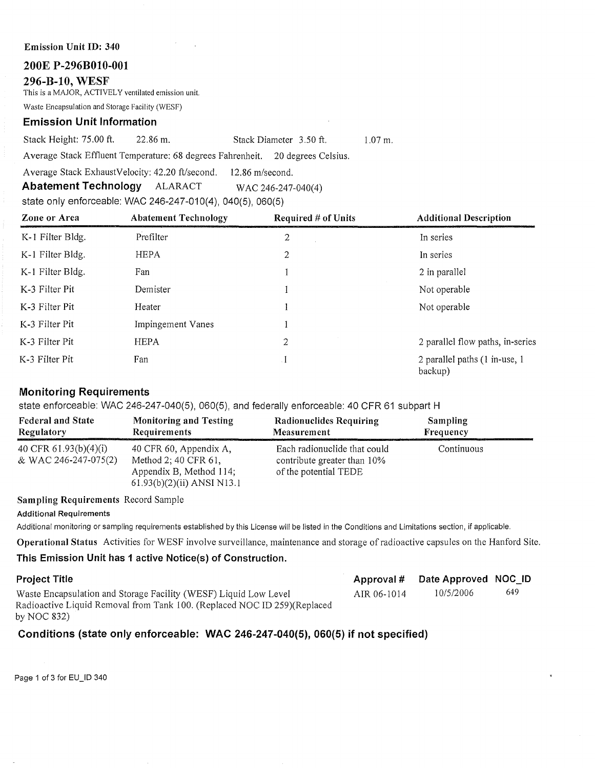#### **Emission Unit ID: 340**

#### **200E P-296B010-001**

#### **296-B-10, WESF**

This is a MAJOR, ACTIVELY ventilated emission unit.

Waste Encapsulation and Storage Facility (WESF)

### **Emission Unit Information**

Stack Height: 75.00 ft. 22.86 m. Stack Diameter 3.50 ft. 1.07 m.

Average Stack Effluent Temperature: 68 degrees Fahrenheit. 20 degrees Celsius.

Average Stack ExhaustVelocity: 42.20 ft/second. 12.86 m/second.

**Abatement Technology** ALARACT WAC 246-247-040(4)

state only enforceable: WAC 246-247-010(4), 040(5), 060(5)

| Zone or Area     | <b>Abatement Technology</b> | Required # of Units | <b>Additional Description</b>             |  |
|------------------|-----------------------------|---------------------|-------------------------------------------|--|
| K-1 Filter Bldg. | Prefilter                   | 2                   | In series                                 |  |
| K-1 Filter Bldg. | <b>HEPA</b>                 | 2                   | In series                                 |  |
| K-1 Filter Bldg. | Fan                         |                     | 2 in parallel                             |  |
| K-3 Filter Pit   | Demister                    |                     | Not operable                              |  |
| K-3 Filter Pit   | Heater                      |                     | Not operable                              |  |
| K-3 Filter Pit   | Impingement Vanes           |                     |                                           |  |
| K-3 Filter Pit   | <b>HEPA</b>                 | 2                   | 2 parallel flow paths, in-series          |  |
| K-3 Filter Pit   | Fan                         | $\cdot$ I           | 2 parallel paths (1 in-use, 1)<br>backup) |  |

## **Monitoring Requirements**

state enforceable: WAC 246-247-040(5), 060(5), and federally enforceable: 40 CFR 61 subpart H

| <b>Federal and State</b>                      | <b>Monitoring and Testing</b>                                                                             | <b>Radionuclides Requiring</b>                                                       | <b>Sampling</b> |
|-----------------------------------------------|-----------------------------------------------------------------------------------------------------------|--------------------------------------------------------------------------------------|-----------------|
| Regulatory                                    | <b>Requirements</b>                                                                                       | Measurement                                                                          | Frequency       |
| 40 CFR 61.93(b)(4)(i)<br>& WAC 246-247-075(2) | 40 CFR 60, Appendix A,<br>Method 2; 40 CFR 61,<br>Appendix B, Method 114;<br>$61.93(b)(2)(ii)$ ANSI N13.1 | Each radionuclide that could<br>contribute greater than 10%<br>of the potential TEDE | Continuous      |

**Sampling Requirements** Record Sample

**Additional Requirements** 

Additional monitoring or sampling requirements established by this License will be listed in the Conditions and Limitations section, if applicable.

**Operational Status** Activities for WESF involve surveillance, maintenance and storage of radioactive capsules on the Hanford Site.

## **This Emission Unit has 1 active Notice(s) of Construction.**

| <b>Project Title</b>                                                      |             | Approval # Date Approved NOC ID |     |
|---------------------------------------------------------------------------|-------------|---------------------------------|-----|
| Waste Encapsulation and Storage Facility (WESF) Liquid Low Level          | AIR 06-1014 | 10/5/2006                       | 649 |
| Radioactive Liquid Removal from Tank 100. (Replaced NOC ID 259) (Replaced |             |                                 |     |
| by NOC $832$ )                                                            |             |                                 |     |

## **Conditions (state only enforceable: WAC 246-247-040(5), 060(5) if not specified)**

Page 1 of 3 for EU\_ID 340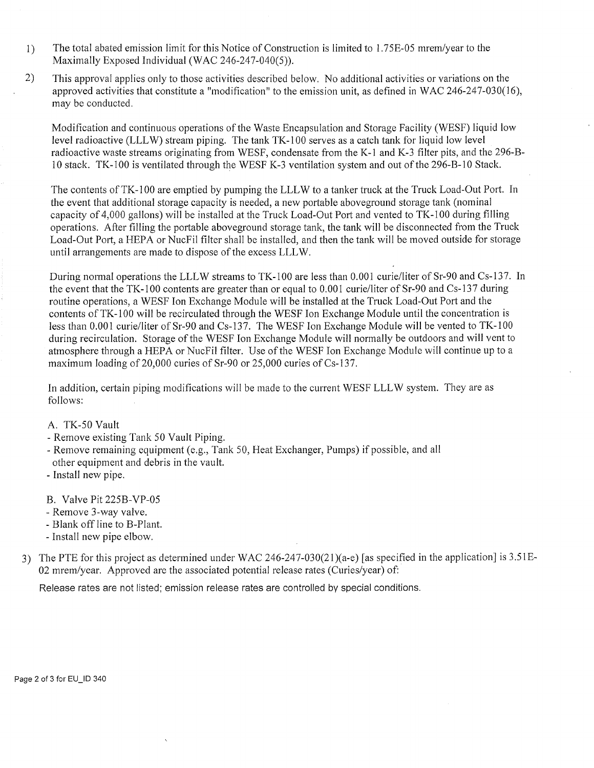- I) The total abated emission limit for this Notice of Construction is limited to 1. 75E-05 mrem/year to the Maximally Exposed Individual (WAC 246-247-040(5)).
- 2) This approval applies only to those activities described below. No additional activities or variations on the approved activities that constitute a "modification" to the emission unit, as defined in WAC 246-247-030(16), may be conducted.

Modification and continuous operations of the Waste Encapsulation and Storage Facility (WESF) liquid low level radioactive (LLL W) stream piping. The tank TK-100 serves as a catch tank for liquid low level radioactive waste streams originating from WESF, condensate from the K-1 and K-3 filter pits, and the 296-B-10 stack. TK-100 is ventilated through the WESF K-3 ventilation system and out of the 296-B-10 Stack.

The contents of TK-100 are emptied by pumping the LLL W to a tanker truck at the Truck Load-Out Port. In the event that additional storage capacity is needed, a new portable aboveground storage tank (nominal capacity of 4,000 gallons) will be installed at the Truck Load-Out Port and vented to TK-100 during filling operations. After filling the portable aboveground storage tank, the tank will be disconnected from the Truck Load-Out Port, a HEPA or NucFil filter shall be installed, and then the tank will be moved outside for storage until arrangements are made to dispose of the excess LLL W.

During normal operations the LLL W streams to TK-100 are less than O.001 curie/liter of Sr-90 and Cs-13 7. In the event that the TK-100 contents are greater than or equal to 0.001 curie/liter of Sr-90 and Cs-137 during routine operations, a WESF Ion Exchange Module will be installed at the Truck Load-Out Port and the contents of TK-100 will be recirculated through the WESF Ion Exchange Module until the concentration is less than 0.001 curie/liter of Sr-90 and Cs-137. The WESF Ion Exchange Module will be vented to TK-100 during recirculation. Storage of the WESF Ion Exchange Module will normally be outdoors and will vent to atmosphere through a HEPA or NucFil filter. Use of the WESF Ion Exchange Module will continue up to a maximum loading of 20,000 curies of Sr-90 or 25,000 curies of Cs-137.

In addition, certain piping modifications will be made to the current WESF LLLW system. They are as follows:

A. TK-50 Vault

- Remove existing Tank 50 Vault Piping.
- Remove remaining equipment (e.g., Tank 50, Heat Exchanger, Pumps) if possible, and all other equipment and debris in the vault.
- Install new pipe.
- B. Valve Pit 225B-VP-05
- Remove 3-way valve.
- Blank off line to B-Plant.
- Install new pipe elbow.
- 3) The PTE for this project as determined under WAC 246-247-030(21)(a-e) [as specified in the application] is 3.51E-02 mrem/year. Approved are the associated potential release rates (Curies/year) of:

Release rates are not listed; emission release rates are controlled by special conditions.